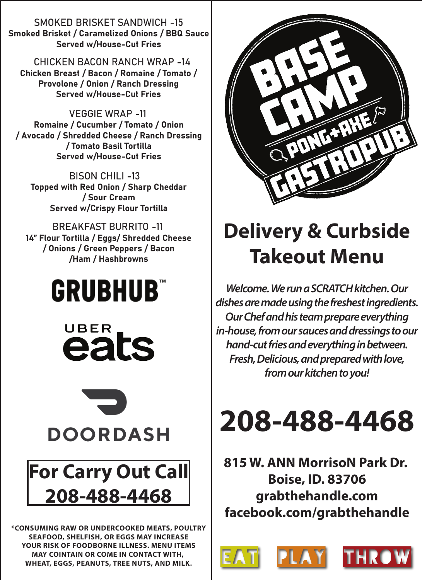SMOKED BRISKET SANDWICH -15 Smoked Brisket / Caramelized Onions / BBQ Sauce Served w/House-Cut Fries

CHICKEN BACON RANCH WRAP -14 Chicken Breast / Bacon / Romaine / Tomato / Provolone / Onion / Ranch Dressing Served w/House-Cut Fries

VEGGIE WRAP -11 Romaine / Cucumber / Tomato / Onion / Avocado / Shredded Cheese / Ranch Dressing / Tomato Basil Tortilla Served w/House-Cut Fries

BISON CHILI -13 Topped with Red Onion / Sharp Cheddar / Sour Cream Served w/Crispy Flour Tortilla

BREAKFAST BURRITO -11 14" Flour Tortilla / Eggs/ Shredded Cheese / Onions / Green Peppers / Bacon /Ham / Hashbrowns

## **GRUBHUB**





## **For Carry Out Call 208-488-4468**

**\*CONSUMING RAW OR UNDERCOOKED MEATS, POULTRY SEAFOOD, SHELFISH, OR EGGS MAY INCREASE YOUR RISK OF FOODBORNE ILLNESS. MENU ITEMS MAY COINTAIN OR COME IN CONTACT WITH, WHEAT, EGGS, PEANUTS, TREE NUTS, AND MILK.**



## **Delivery & Curbside Takeout Menu**

*Welcome. We run a SCRATCH kitchen. Our dishes are made using the freshest ingredients. Our Chef and his team prepare everything in-house, from our sauces and dressings to our hand-cut fries and everything in between. Fresh, Delicious, and prepared with love, from our kitchen to you!*



**815 W. ANN MorrisoN Park Dr. Boise, ID. 83706 grabthehandle.com facebook.com/grabthehandle**